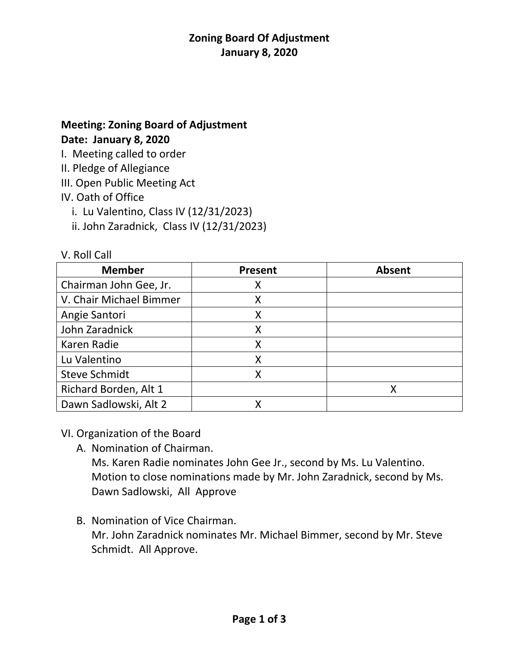# **Zoning Board Of Adjustment January 8, 2020**

## **Meeting: Zoning Board of Adjustment Date: January 8, 2020**

I. Meeting called to order

II. Pledge of Allegiance

III. Open Public Meeting Act

# IV. Oath of Office

V. Roll Call

i. Lu Valentino, Class IV (12/31/2023)

ii. John Zaradnick, Class IV (12/31/2023)

| $\mathsf{v}$ . In the state $\mathsf{v}$ |                |               |
|------------------------------------------|----------------|---------------|
| <b>Member</b>                            | <b>Present</b> | <b>Absent</b> |
| Chairman John Gee, Jr.                   | Χ              |               |
| V. Chair Michael Bimmer                  | Х              |               |
| Angie Santori                            |                |               |
| John Zaradnick                           | Χ              |               |
| Karen Radie                              |                |               |
| Lu Valentino                             | Χ              |               |
| <b>Steve Schmidt</b>                     | x              |               |
| Richard Borden, Alt 1                    |                | Χ             |
| Dawn Sadlowski, Alt 2                    |                |               |

#### VI. Organization of the Board

A. Nomination of Chairman.

Ms. Karen Radie nominates John Gee Jr., second by Ms. Lu Valentino. Motion to close nominations made by Mr. John Zaradnick, second by Ms. Dawn Sadlowski, All Approve

B. Nomination of Vice Chairman. Mr. John Zaradnick nominates Mr. Michael Bimmer, second by Mr. Steve Schmidt. All Approve.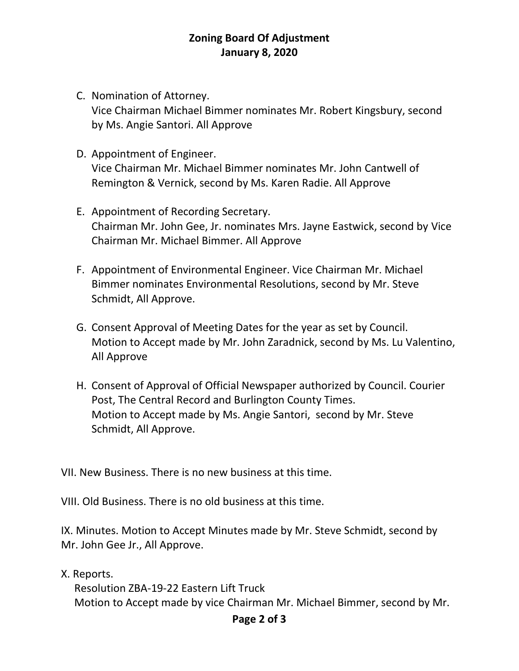## **Zoning Board Of Adjustment January 8, 2020**

- C. Nomination of Attorney. Vice Chairman Michael Bimmer nominates Mr. Robert Kingsbury, second by Ms. Angie Santori. All Approve
- D. Appointment of Engineer. Vice Chairman Mr. Michael Bimmer nominates Mr. John Cantwell of Remington & Vernick, second by Ms. Karen Radie. All Approve
- E. Appointment of Recording Secretary. Chairman Mr. John Gee, Jr. nominates Mrs. Jayne Eastwick, second by Vice Chairman Mr. Michael Bimmer. All Approve
- F. Appointment of Environmental Engineer. Vice Chairman Mr. Michael Bimmer nominates Environmental Resolutions, second by Mr. Steve Schmidt, All Approve.
- G. Consent Approval of Meeting Dates for the year as set by Council. Motion to Accept made by Mr. John Zaradnick, second by Ms. Lu Valentino, All Approve
- H. Consent of Approval of Official Newspaper authorized by Council. Courier Post, The Central Record and Burlington County Times. Motion to Accept made by Ms. Angie Santori, second by Mr. Steve Schmidt, All Approve.

VII. New Business. There is no new business at this time.

VIII. Old Business. There is no old business at this time.

IX. Minutes. Motion to Accept Minutes made by Mr. Steve Schmidt, second by Mr. John Gee Jr., All Approve.

X. Reports.

 Resolution ZBA-19-22 Eastern Lift Truck Motion to Accept made by vice Chairman Mr. Michael Bimmer, second by Mr.